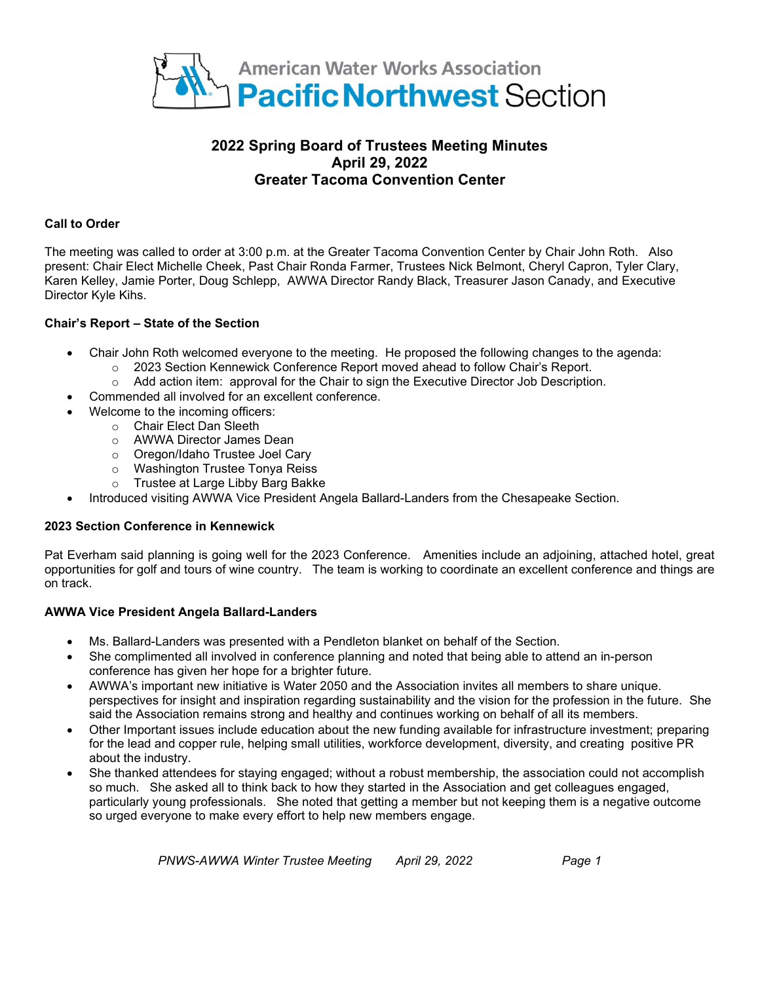

# **2022 Spring Board of Trustees Meeting Minutes April 29, 2022 Greater Tacoma Convention Center**

# **Call to Order**

The meeting was called to order at 3:00 p.m. at the Greater Tacoma Convention Center by Chair John Roth. Also present: Chair Elect Michelle Cheek, Past Chair Ronda Farmer, Trustees Nick Belmont, Cheryl Capron, Tyler Clary, Karen Kelley, Jamie Porter, Doug Schlepp, AWWA Director Randy Black, Treasurer Jason Canady, and Executive Director Kyle Kihs.

# **Chair's Report – State of the Section**

- Chair John Roth welcomed everyone to the meeting. He proposed the following changes to the agenda:
	- $\circ$  2023 Section Kennewick Conference Report moved ahead to follow Chair's Report.
	- o Add action item: approval for the Chair to sign the Executive Director Job Description.
- Commended all involved for an excellent conference.
	- Welcome to the incoming officers:
		- o Chair Elect Dan Sleeth
		- o AWWA Director James Dean
		- o Oregon/Idaho Trustee Joel Cary
		- o Washington Trustee Tonya Reiss
		- o Trustee at Large Libby Barg Bakke
- Introduced visiting AWWA Vice President Angela Ballard-Landers from the Chesapeake Section.

#### **2023 Section Conference in Kennewick**

Pat Everham said planning is going well for the 2023 Conference. Amenities include an adjoining, attached hotel, great opportunities for golf and tours of wine country. The team is working to coordinate an excellent conference and things are on track.

#### **AWWA Vice President Angela Ballard-Landers**

- Ms. Ballard-Landers was presented with a Pendleton blanket on behalf of the Section.
- She complimented all involved in conference planning and noted that being able to attend an in-person conference has given her hope for a brighter future.
- AWWA's important new initiative is Water 2050 and the Association invites all members to share unique. perspectives for insight and inspiration regarding sustainability and the vision for the profession in the future. She said the Association remains strong and healthy and continues working on behalf of all its members.
- Other Important issues include education about the new funding available for infrastructure investment; preparing for the lead and copper rule, helping small utilities, workforce development, diversity, and creating positive PR about the industry.
- She thanked attendees for staying engaged; without a robust membership, the association could not accomplish so much. She asked all to think back to how they started in the Association and get colleagues engaged, particularly young professionals. She noted that getting a member but not keeping them is a negative outcome so urged everyone to make every effort to help new members engage.

*PNWS-AWWA Winter Trustee Meeting April 29, 2022 Page 1*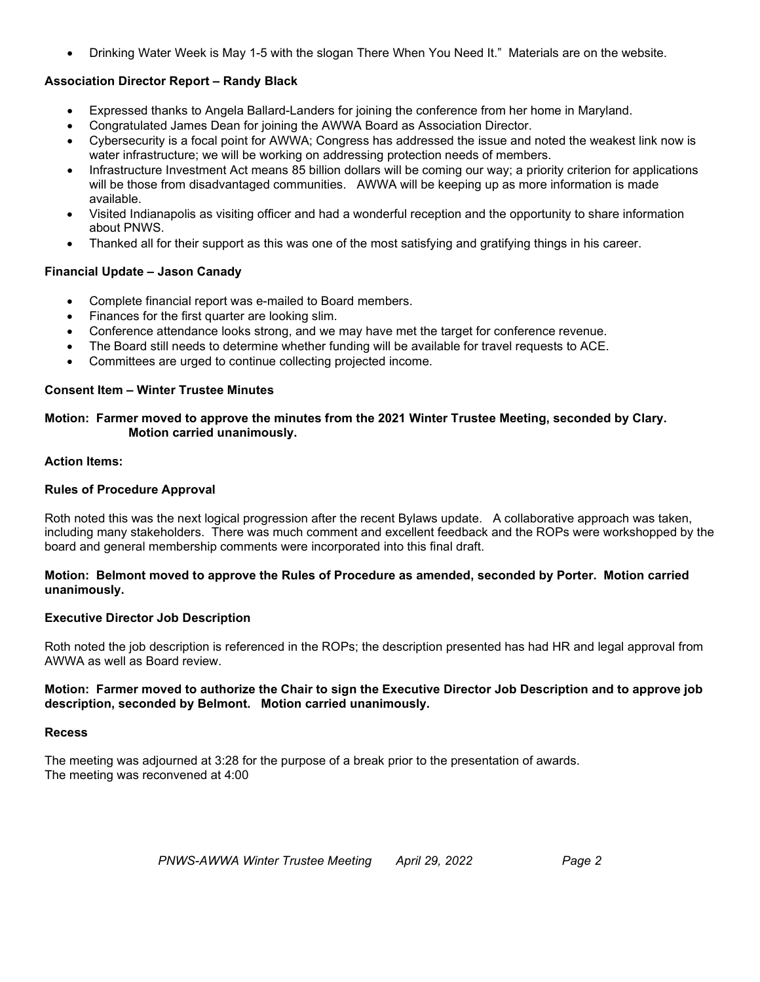• Drinking Water Week is May 1-5 with the slogan There When You Need It." Materials are on the website.

# **Association Director Report – Randy Black**

- Expressed thanks to Angela Ballard-Landers for joining the conference from her home in Maryland.
- Congratulated James Dean for joining the AWWA Board as Association Director.
- Cybersecurity is a focal point for AWWA; Congress has addressed the issue and noted the weakest link now is water infrastructure; we will be working on addressing protection needs of members.
- Infrastructure Investment Act means 85 billion dollars will be coming our way; a priority criterion for applications will be those from disadvantaged communities. AWWA will be keeping up as more information is made available.
- Visited Indianapolis as visiting officer and had a wonderful reception and the opportunity to share information about PNWS.
- Thanked all for their support as this was one of the most satisfying and gratifying things in his career.

# **Financial Update – Jason Canady**

- Complete financial report was e-mailed to Board members.
- Finances for the first quarter are looking slim.
- Conference attendance looks strong, and we may have met the target for conference revenue.
- The Board still needs to determine whether funding will be available for travel requests to ACE.
- Committees are urged to continue collecting projected income.

#### **Consent Item – Winter Trustee Minutes**

# **Motion: Farmer moved to approve the minutes from the 2021 Winter Trustee Meeting, seconded by Clary. Motion carried unanimously.**

#### **Action Items:**

# **Rules of Procedure Approval**

Roth noted this was the next logical progression after the recent Bylaws update. A collaborative approach was taken, including many stakeholders. There was much comment and excellent feedback and the ROPs were workshopped by the board and general membership comments were incorporated into this final draft.

#### **Motion: Belmont moved to approve the Rules of Procedure as amended, seconded by Porter. Motion carried unanimously.**

# **Executive Director Job Description**

Roth noted the job description is referenced in the ROPs; the description presented has had HR and legal approval from AWWA as well as Board review.

#### **Motion: Farmer moved to authorize the Chair to sign the Executive Director Job Description and to approve job description, seconded by Belmont. Motion carried unanimously.**

#### **Recess**

The meeting was adjourned at 3:28 for the purpose of a break prior to the presentation of awards. The meeting was reconvened at 4:00

*PNWS-AWWA Winter Trustee Meeting April 29, 2022 Page 2*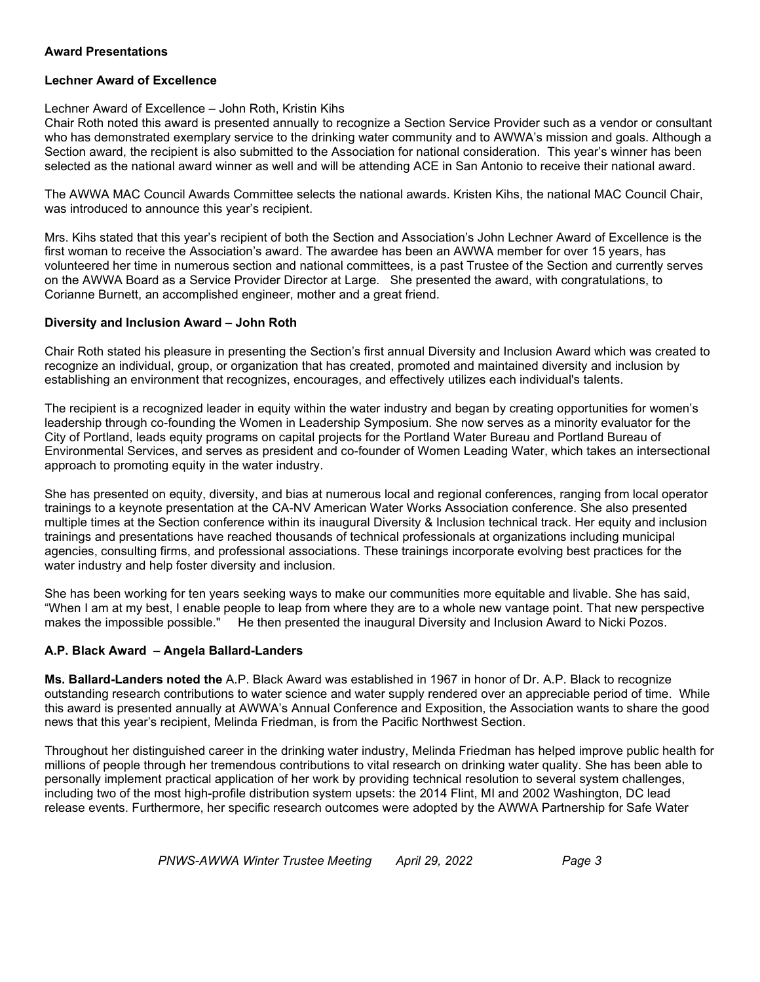# **Award Presentations**

#### **Lechner Award of Excellence**

#### Lechner Award of Excellence – John Roth, Kristin Kihs

Chair Roth noted this award is presented annually to recognize a Section Service Provider such as a vendor or consultant who has demonstrated exemplary service to the drinking water community and to AWWA's mission and goals. Although a Section award, the recipient is also submitted to the Association for national consideration. This year's winner has been selected as the national award winner as well and will be attending ACE in San Antonio to receive their national award.

The AWWA MAC Council Awards Committee selects the national awards. Kristen Kihs, the national MAC Council Chair, was introduced to announce this year's recipient.

Mrs. Kihs stated that this year's recipient of both the Section and Association's John Lechner Award of Excellence is the first woman to receive the Association's award. The awardee has been an AWWA member for over 15 years, has volunteered her time in numerous section and national committees, is a past Trustee of the Section and currently serves on the AWWA Board as a Service Provider Director at Large. She presented the award, with congratulations, to Corianne Burnett, an accomplished engineer, mother and a great friend.

#### **Diversity and Inclusion Award – John Roth**

Chair Roth stated his pleasure in presenting the Section's first annual Diversity and Inclusion Award which was created to recognize an individual, group, or organization that has created, promoted and maintained diversity and inclusion by establishing an environment that recognizes, encourages, and effectively utilizes each individual's talents.

The recipient is a recognized leader in equity within the water industry and began by creating opportunities for women's leadership through co-founding the Women in Leadership Symposium. She now serves as a minority evaluator for the City of Portland, leads equity programs on capital projects for the Portland Water Bureau and Portland Bureau of Environmental Services, and serves as president and co-founder of Women Leading Water, which takes an intersectional approach to promoting equity in the water industry.

She has presented on equity, diversity, and bias at numerous local and regional conferences, ranging from local operator trainings to a keynote presentation at the CA-NV American Water Works Association conference. She also presented multiple times at the Section conference within its inaugural Diversity & Inclusion technical track. Her equity and inclusion trainings and presentations have reached thousands of technical professionals at organizations including municipal agencies, consulting firms, and professional associations. These trainings incorporate evolving best practices for the water industry and help foster diversity and inclusion.

She has been working for ten years seeking ways to make our communities more equitable and livable. She has said, "When I am at my best, I enable people to leap from where they are to a whole new vantage point. That new perspective makes the impossible possible." He then presented the inaugural Diversity and Inclusion Award to Nicki Pozos.

#### **A.P. Black Award – Angela Ballard-Landers**

**Ms. Ballard-Landers noted the** A.P. Black Award was established in 1967 in honor of Dr. A.P. Black to recognize outstanding research contributions to water science and water supply rendered over an appreciable period of time. While this award is presented annually at AWWA's Annual Conference and Exposition, the Association wants to share the good news that this year's recipient, Melinda Friedman, is from the Pacific Northwest Section.

Throughout her distinguished career in the drinking water industry, Melinda Friedman has helped improve public health for millions of people through her tremendous contributions to vital research on drinking water quality. She has been able to personally implement practical application of her work by providing technical resolution to several system challenges, including two of the most high-profile distribution system upsets: the 2014 Flint, MI and 2002 Washington, DC lead release events. Furthermore, her specific research outcomes were adopted by the AWWA Partnership for Safe Water